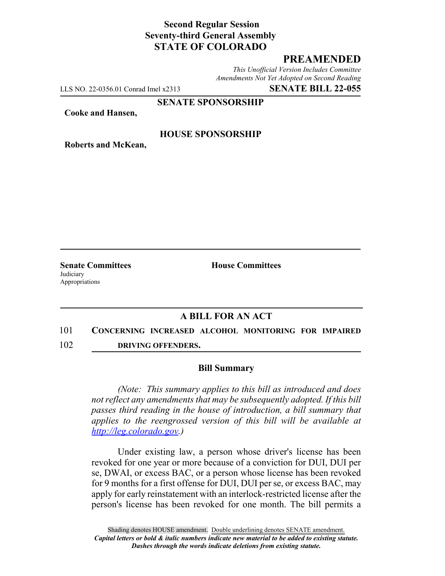# **Second Regular Session Seventy-third General Assembly STATE OF COLORADO**

## **PREAMENDED**

*This Unofficial Version Includes Committee Amendments Not Yet Adopted on Second Reading*

LLS NO. 22-0356.01 Conrad Imel x2313 **SENATE BILL 22-055**

**SENATE SPONSORSHIP**

**Cooke and Hansen,**

### **HOUSE SPONSORSHIP**

**Roberts and McKean,**

**Judiciary** Appropriations

**Senate Committees House Committees** 

### **A BILL FOR AN ACT**

# 101 **CONCERNING INCREASED ALCOHOL MONITORING FOR IMPAIRED**

102 **DRIVING OFFENDERS.**

#### **Bill Summary**

*(Note: This summary applies to this bill as introduced and does not reflect any amendments that may be subsequently adopted. If this bill passes third reading in the house of introduction, a bill summary that applies to the reengrossed version of this bill will be available at http://leg.colorado.gov.)*

Under existing law, a person whose driver's license has been revoked for one year or more because of a conviction for DUI, DUI per se, DWAI, or excess BAC, or a person whose license has been revoked for 9 months for a first offense for DUI, DUI per se, or excess BAC, may apply for early reinstatement with an interlock-restricted license after the person's license has been revoked for one month. The bill permits a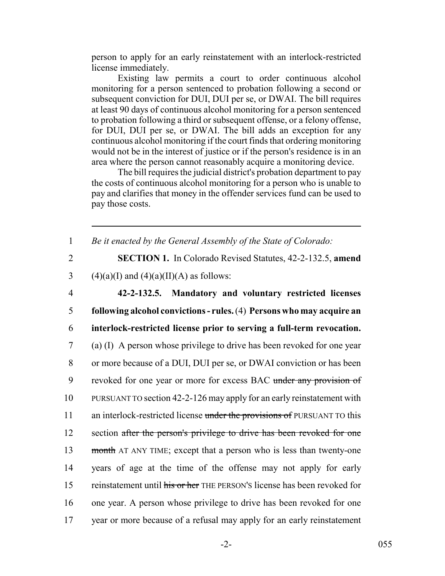person to apply for an early reinstatement with an interlock-restricted license immediately.

Existing law permits a court to order continuous alcohol monitoring for a person sentenced to probation following a second or subsequent conviction for DUI, DUI per se, or DWAI. The bill requires at least 90 days of continuous alcohol monitoring for a person sentenced to probation following a third or subsequent offense, or a felony offense, for DUI, DUI per se, or DWAI. The bill adds an exception for any continuous alcohol monitoring if the court finds that ordering monitoring would not be in the interest of justice or if the person's residence is in an area where the person cannot reasonably acquire a monitoring device.

The bill requires the judicial district's probation department to pay the costs of continuous alcohol monitoring for a person who is unable to pay and clarifies that money in the offender services fund can be used to pay those costs.

1 *Be it enacted by the General Assembly of the State of Colorado:*

2 **SECTION 1.** In Colorado Revised Statutes, 42-2-132.5, **amend** 3 (4)(a)(I) and (4)(a)(II)(A) as follows:

 **42-2-132.5. Mandatory and voluntary restricted licenses following alcohol convictions - rules.** (4) **Persons who may acquire an interlock-restricted license prior to serving a full-term revocation.** (a) (I) A person whose privilege to drive has been revoked for one year or more because of a DUI, DUI per se, or DWAI conviction or has been 9 revoked for one year or more for excess BAC under any provision of PURSUANT TO section 42-2-126 may apply for an early reinstatement with 11 an interlock-restricted license under the provisions of PURSUANT TO this 12 section after the person's privilege to drive has been revoked for one 13 month AT ANY TIME; except that a person who is less than twenty-one years of age at the time of the offense may not apply for early 15 reinstatement until his or her THE PERSON's license has been revoked for one year. A person whose privilege to drive has been revoked for one year or more because of a refusal may apply for an early reinstatement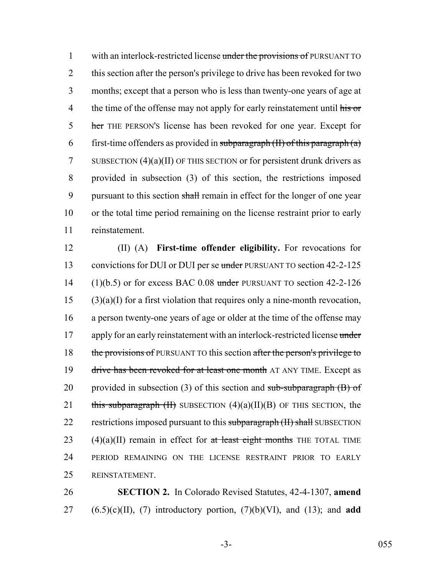1 with an interlock-restricted license under the provisions of PURSUANT TO 2 this section after the person's privilege to drive has been revoked for two 3 months; except that a person who is less than twenty-one years of age at 4 the time of the offense may not apply for early reinstatement until his or 5 her THE PERSON's license has been revoked for one year. Except for 6 first-time offenders as provided in subparagraph  $(H)$  of this paragraph  $(a)$ 7 SUBSECTION  $(4)(a)(II)$  OF THIS SECTION or for persistent drunk drivers as 8 provided in subsection (3) of this section, the restrictions imposed 9 pursuant to this section shall remain in effect for the longer of one year 10 or the total time period remaining on the license restraint prior to early 11 reinstatement.

12 (II) (A) **First-time offender eligibility.** For revocations for 13 convictions for DUI or DUI per se under PURSUANT TO section 42-2-125 14 (1)(b.5) or for excess BAC 0.08 under PURSUANT TO section  $42-2-126$  $15$  (3)(a)(I) for a first violation that requires only a nine-month revocation, 16 a person twenty-one years of age or older at the time of the offense may 17 apply for an early reinstatement with an interlock-restricted license under 18 the provisions of PURSUANT TO this section after the person's privilege to 19 drive has been revoked for at least one month AT ANY TIME. Except as 20 provided in subsection (3) of this section and sub-subparagraph  $(B)$  of 21 this subparagraph  $(H)$  SUBSECTION  $(4)(a)(II)(B)$  OF THIS SECTION, the 22 restrictions imposed pursuant to this subparagraph (II) shall SUBSECTION 23 (4)(a)(II) remain in effect for at least eight months THE TOTAL TIME 24 PERIOD REMAINING ON THE LICENSE RESTRAINT PRIOR TO EARLY 25 REINSTATEMENT.

26 **SECTION 2.** In Colorado Revised Statutes, 42-4-1307, **amend**  $27$   $(6.5)(c)(II)$ , (7) introductory portion, (7)(b)(VI), and (13); and **add**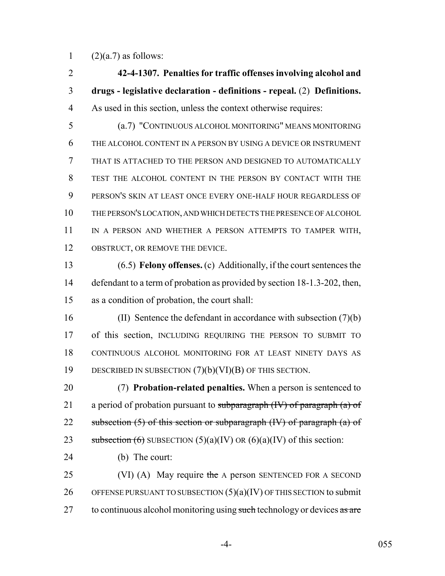1  $(2)(a.7)$  as follows:

 **42-4-1307. Penalties for traffic offenses involving alcohol and drugs - legislative declaration - definitions - repeal.** (2) **Definitions.** As used in this section, unless the context otherwise requires:

 (a.7) "CONTINUOUS ALCOHOL MONITORING" MEANS MONITORING THE ALCOHOL CONTENT IN A PERSON BY USING A DEVICE OR INSTRUMENT THAT IS ATTACHED TO THE PERSON AND DESIGNED TO AUTOMATICALLY TEST THE ALCOHOL CONTENT IN THE PERSON BY CONTACT WITH THE PERSON'S SKIN AT LEAST ONCE EVERY ONE-HALF HOUR REGARDLESS OF THE PERSON'S LOCATION, AND WHICH DETECTS THE PRESENCE OF ALCOHOL IN A PERSON AND WHETHER A PERSON ATTEMPTS TO TAMPER WITH, 12 OBSTRUCT, OR REMOVE THE DEVICE.

 (6.5) **Felony offenses.** (c) Additionally, if the court sentences the 14 defendant to a term of probation as provided by section 18-1.3-202, then, as a condition of probation, the court shall:

 (II) Sentence the defendant in accordance with subsection (7)(b) of this section, INCLUDING REQUIRING THE PERSON TO SUBMIT TO CONTINUOUS ALCOHOL MONITORING FOR AT LEAST NINETY DAYS AS DESCRIBED IN SUBSECTION (7)(b)(VI)(B) OF THIS SECTION.

 (7) **Probation-related penalties.** When a person is sentenced to 21 a period of probation pursuant to subparagraph  $(W)$  of paragraph  $(a)$  of 22 subsection  $(5)$  of this section or subparagraph  $(W)$  of paragraph  $(a)$  of 23 subsection  $(6)$  SUBSECTION  $(5)(a)(IV)$  OR  $(6)(a)(IV)$  of this section:

- (b) The court:
- 25 (VI) (A) May require the A person SENTENCED FOR A SECOND 26 OFFENSE PURSUANT TO SUBSECTION  $(5)(a)(IV)$  OF THIS SECTION to submit 27 to continuous alcohol monitoring using such technology or devices as are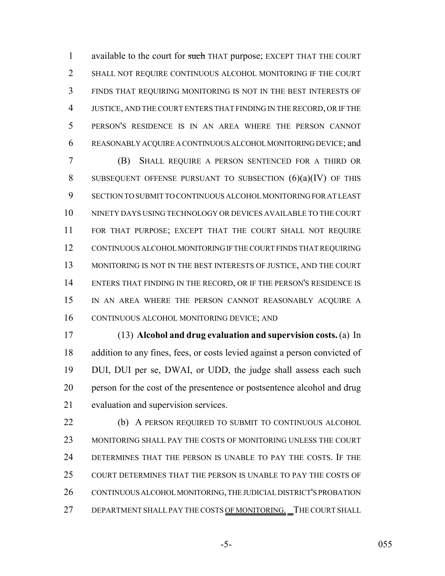1 available to the court for such THAT purpose; EXCEPT THAT THE COURT SHALL NOT REQUIRE CONTINUOUS ALCOHOL MONITORING IF THE COURT FINDS THAT REQUIRING MONITORING IS NOT IN THE BEST INTERESTS OF JUSTICE, AND THE COURT ENTERS THAT FINDING IN THE RECORD, OR IF THE PERSON'S RESIDENCE IS IN AN AREA WHERE THE PERSON CANNOT REASONABLY ACQUIRE A CONTINUOUS ALCOHOL MONITORING DEVICE; and

 (B) SHALL REQUIRE A PERSON SENTENCED FOR A THIRD OR 8 SUBSEQUENT OFFENSE PURSUANT TO SUBSECTION  $(6)(a)(IV)$  of this SECTION TO SUBMIT TO CONTINUOUS ALCOHOL MONITORING FOR AT LEAST NINETY DAYS USING TECHNOLOGY OR DEVICES AVAILABLE TO THE COURT FOR THAT PURPOSE; EXCEPT THAT THE COURT SHALL NOT REQUIRE CONTINUOUS ALCOHOL MONITORING IF THE COURT FINDS THAT REQUIRING 13 MONITORING IS NOT IN THE BEST INTERESTS OF JUSTICE, AND THE COURT 14 ENTERS THAT FINDING IN THE RECORD, OR IF THE PERSON'S RESIDENCE IS IN AN AREA WHERE THE PERSON CANNOT REASONABLY ACQUIRE A CONTINUOUS ALCOHOL MONITORING DEVICE; AND

 (13) **Alcohol and drug evaluation and supervision costs.** (a) In addition to any fines, fees, or costs levied against a person convicted of DUI, DUI per se, DWAI, or UDD, the judge shall assess each such person for the cost of the presentence or postsentence alcohol and drug evaluation and supervision services.

**(b)** A PERSON REQUIRED TO SUBMIT TO CONTINUOUS ALCOHOL MONITORING SHALL PAY THE COSTS OF MONITORING UNLESS THE COURT DETERMINES THAT THE PERSON IS UNABLE TO PAY THE COSTS. IF THE COURT DETERMINES THAT THE PERSON IS UNABLE TO PAY THE COSTS OF 26 CONTINUOUS ALCOHOL MONITORING, THE JUDICIAL DISTRICT'S PROBATION 27 DEPARTMENT SHALL PAY THE COSTS OF MONITORING. THE COURT SHALL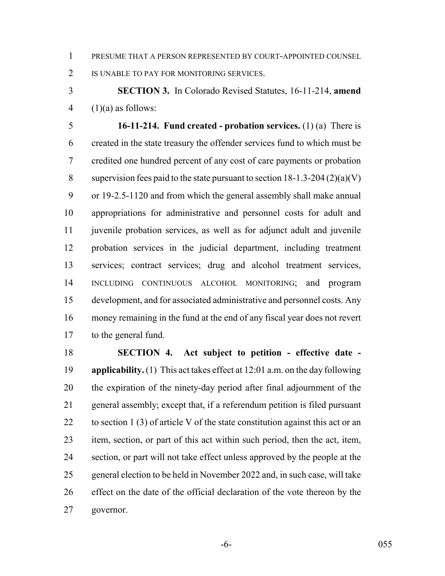PRESUME THAT A PERSON REPRESENTED BY COURT-APPOINTED COUNSEL

2 IS UNABLE TO PAY FOR MONITORING SERVICES.

 **SECTION 3.** In Colorado Revised Statutes, 16-11-214, **amend** 4  $(1)(a)$  as follows:

 **16-11-214. Fund created - probation services.** (1) (a) There is created in the state treasury the offender services fund to which must be credited one hundred percent of any cost of care payments or probation 8 supervision fees paid to the state pursuant to section  $18-1.3-204(2)(a)(V)$  or 19-2.5-1120 and from which the general assembly shall make annual appropriations for administrative and personnel costs for adult and juvenile probation services, as well as for adjunct adult and juvenile probation services in the judicial department, including treatment services; contract services; drug and alcohol treatment services, INCLUDING CONTINUOUS ALCOHOL MONITORING; and program development, and for associated administrative and personnel costs. Any money remaining in the fund at the end of any fiscal year does not revert 17 to the general fund.

 **SECTION 4. Act subject to petition - effective date - applicability.** (1) This act takes effect at 12:01 a.m. on the day following the expiration of the ninety-day period after final adjournment of the general assembly; except that, if a referendum petition is filed pursuant 22 to section 1 (3) of article V of the state constitution against this act or an item, section, or part of this act within such period, then the act, item, section, or part will not take effect unless approved by the people at the general election to be held in November 2022 and, in such case, will take effect on the date of the official declaration of the vote thereon by the governor.